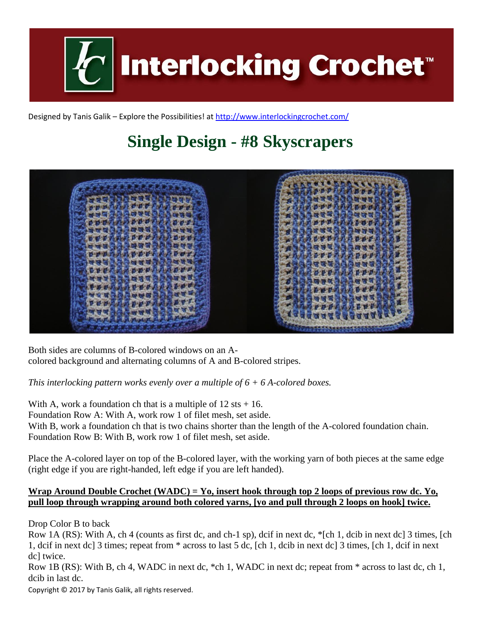

Designed by Tanis Galik – Explore the Possibilities! a[t http://www.interlockingcrochet.com/](http://www.interlockingcrochet.com/)

## **Single Design - #8 Skyscrapers**



Both sides are columns of B-colored windows on an Acolored background and alternating columns of A and B-colored stripes.

*This interlocking pattern works evenly over a multiple of 6 + 6 A-colored boxes.*

With A, work a foundation ch that is a multiple of  $12$  sts  $+ 16$ . Foundation Row A: With A, work row 1 of filet mesh, set aside. With B, work a foundation ch that is two chains shorter than the length of the A-colored foundation chain. Foundation Row B: With B, work row 1 of filet mesh, set aside.

Place the A-colored layer on top of the B-colored layer, with the working yarn of both pieces at the same edge (right edge if you are right-handed, left edge if you are left handed).

## **Wrap Around Double Crochet (WADC) = Yo, insert hook through top 2 loops of previous row dc. Yo, pull loop through wrapping around both colored yarns, [yo and pull through 2 loops on hook] twice.**

Drop Color B to back

Row 1A (RS): With A, ch 4 (counts as first dc, and ch-1 sp), dcif in next dc, \*[ch 1, dcib in next dc] 3 times, [ch 1, dcif in next dc] 3 times; repeat from \* across to last 5 dc, [ch 1, dcib in next dc] 3 times, [ch 1, dcif in next dc] twice.

Row 1B (RS): With B, ch 4, WADC in next dc, \*ch 1, WADC in next dc; repeat from \* across to last dc, ch 1, dcib in last dc.

Copyright © 2017 by Tanis Galik, all rights reserved.